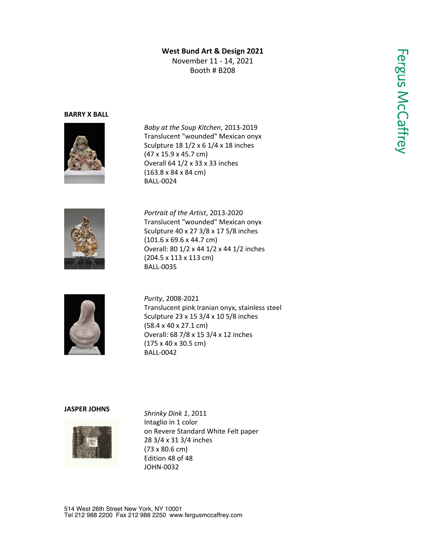# **West Bund Art & Design 2021**

November 11 - 14, 2021 Booth # B208

### **BARRY X BALL**



*Baby at the Soup Kitchen*, 2013-2019 Translucent "wounded" Mexican onyx Sculpture 18 1/2 x 6 1/4 x 18 inches (47 x 15.9 x 45.7 cm) Overall 64 1/2 x 33 x 33 inches (163.8 x 84 x 84 cm) BALL-0024



*Portrait of the Artist*, 2013-2020 Translucent "wounded" Mexican onyx Sculpture 40 x 27 3/8 x 17 5/8 inches (101.6 x 69.6 x 44.7 cm) Overall: 80 1/2 x 44 1/2 x 44 1/2 inches (204.5 x 113 x 113 cm) BALL-0035



*Purity*, 2008-2021 Translucent pink Iranian onyx, stainless steel Sculpture 23 x 15 3/4 x 10 5/8 inches (58.4 x 40 x 27.1 cm) Overall: 68 7/8 x 15 3/4 x 12 inches (175 x 40 x 30.5 cm) BALL-0042

#### **JASPER JOHNS**



*Shrinky Dink 1*, 2011 Intaglio in 1 color on Revere Standard White Felt paper 28 3/4 x 31 3/4 inches (73 x 80.6 cm) Edition 48 of 48 JOHN-0032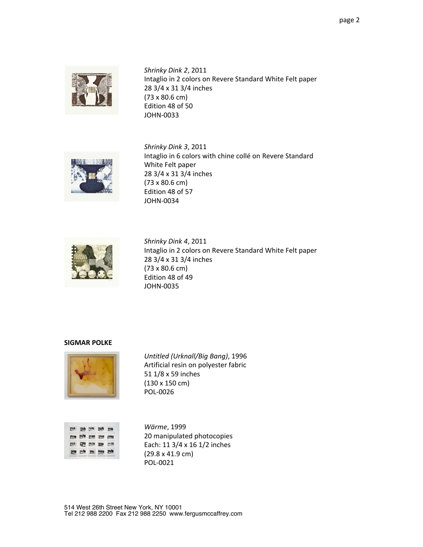

*Shrinky Dink 2*, 2011 Intaglio in 2 colors on Revere Standard White Felt paper 28 3/4 x 31 3/4 inches (73 x 80.6 cm) Edition 48 of 50 JOHN-0033



*Shrinky Dink 3*, 2011 Intaglio in 6 colors with chine collé on Revere Standard White Felt paper 28 3/4 x 31 3/4 inches (73 x 80.6 cm) Edition 48 of 57 JOHN-0034



*Shrinky Dink 4*, 2011 Intaglio in 2 colors on Revere Standard White Felt paper 28 3/4 x 31 3/4 inches (73 x 80.6 cm) Edition 48 of 49 JOHN-0035

## **SIGMAR POLKE**



*Untitled (Urknall/Big Bang)*, 1996 Artificial resin on polyester fabric 51 1/8 x 59 inches (130 x 150 cm) POL-0026

|  | E |  |
|--|---|--|

*Wärme*, 1999 20 manipulated photocopies Each: 11 3/4 x 16 1/2 inches (29.8 x 41.9 cm) POL-0021